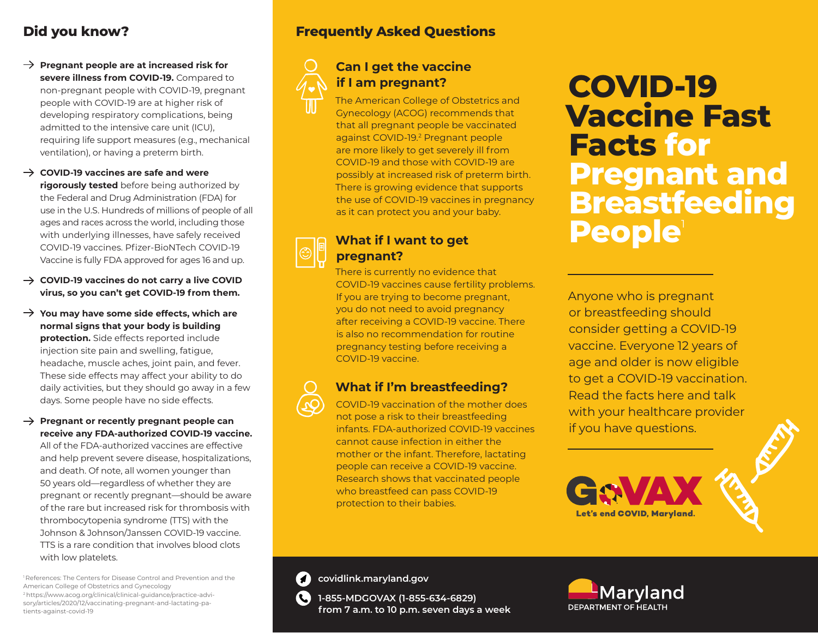# **Did you know?**

**Pregnant people are at increased risk for severe illness from COVID-19.** Compared to non-pregnant people with COVID-19, pregnant people with COVID-19 are at higher risk of developing respiratory complications, being admitted to the intensive care unit (ICU), requiring life support measures (e.g., mechanical ventilation), or having a preterm birth.

**COVID-19 vaccines are safe and were rigorously tested** before being authorized by the Federal and Drug Administration (FDA) for use in the U.S. Hundreds of millions of people of all ages and races across the world, including those with underlying illnesses, have safely received COVID-19 vaccines. Pfizer-BioNTech COVID-19 Vaccine is fully FDA approved for ages 16 and up.

- **COVID-19 vaccines do not carry a live COVID virus, so you can't get COVID-19 from them.**
- **You may have some side effects, which are normal signs that your body is building protection.** Side effects reported include injection site pain and swelling, fatigue, headache, muscle aches, joint pain, and fever. These side effects may affect your ability to do daily activities, but they should go away in a few days. Some people have no side effects.
- → Pregnant or recently pregnant people can **receive any FDA-authorized COVID-19 vaccine.**

All of the FDA-authorized vaccines are effective and help prevent severe disease, hospitalizations, and death. Of note, all women younger than 50 years old—regardless of whether they are pregnant or recently pregnant—should be aware of the rare but increased risk for thrombosis with thrombocytopenia syndrome (TTS) with the Johnson & Johnson/Janssen COVID-19 vaccine. TTS is a rare condition that involves blood clots with low platelets.

<sup>1</sup> References: The Centers for Disease Control and Prevention and the American College of Obstetrics and Gynecology 2 https://www.acog.org/clinical/clinical-guidance/practice-advisory/articles/2020/12/vaccinating-pregnant-and-lactating-patients-against-covid-19

# **Frequently Asked Questions**

# **Can I get the vaccine if I am pregnant?**

The American College of Obstetrics and Gynecology (ACOG) recommends that that all pregnant people be vaccinated against COVID-19.<sup>2</sup> Pregnant people are more likely to get severely ill from COVID-19 and those with COVID-19 are possibly at increased risk of preterm birth. There is growing evidence that supports the use of COVID-19 vaccines in pregnancy as it can protect you and your baby.

### **What if I want to get pregnant?**

There is currently no evidence that COVID-19 vaccines cause fertility problems. If you are trying to become pregnant, you do not need to avoid pregnancy after receiving a COVID-19 vaccine. There is also no recommendation for routine pregnancy testing before receiving a COVID-19 vaccine.

# **What if I'm breastfeeding?**

COVID-19 vaccination of the mother does not pose a risk to their breastfeeding infants. FDA-authorized COVID-19 vaccines cannot cause infection in either the mother or the infant. Therefore, lactating people can receive a COVID-19 vaccine. Research shows that vaccinated people who breastfeed can pass COVID-19 protection to their babies.

# **COVID-19 Vaccine Fast Facts for Pregnant and Breastfeeding People**<sup>1</sup>

Anyone who is pregnant or breastfeeding should consider getting a COVID-19 vaccine. Everyone 12 years of age and older is now eligible to get a COVID-19 vaccination. Read the facts here and talk with your healthcare provider if you have questions.



**covidlink.maryland.gov** covidlink.m

**7** 

**1-855-MDGOVAX (1-855-634-6829)**   $\mathbf{C}$ **from 7 a.m. to 10 p.m. seven days a week**

Marvland DEPARTMENT OF HEALTH